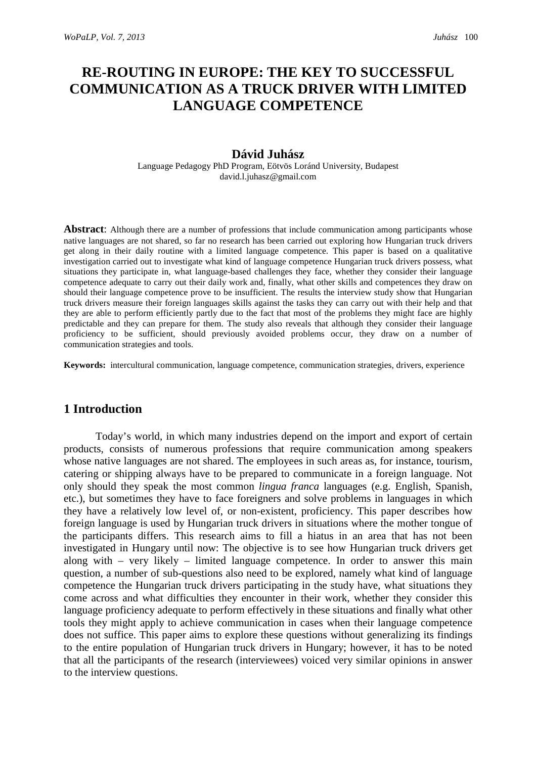# **RE-ROUTING IN EUROPE: THE KEY TO SUCCESSFUL COMMUNICATION AS A TRUCK DRIVER WITH LIMITED LANGUAGE COMPETENCE**

# **Dávid Juhász**

Language Pedagogy PhD Program, Eötvös Loránd University, Budapest david.l.juhasz@gmail.com

**Abstract:** Although there are a number of professions that include communication among participants whose native languages are not shared, so far no research has been carried out exploring how Hungarian truck drivers get along in their daily routine with a limited language competence. This paper is based on a qualitative investigation carried out to investigate what kind of language competence Hungarian truck drivers possess, what situations they participate in, what language-based challenges they face, whether they consider their language competence adequate to carry out their daily work and, finally, what other skills and competences they draw on should their language competence prove to be insufficient. The results the interview study show that Hungarian truck drivers measure their foreign languages skills against the tasks they can carry out with their help and that they are able to perform efficiently partly due to the fact that most of the problems they might face are highly predictable and they can prepare for them. The study also reveals that although they consider their language proficiency to be sufficient, should previously avoided problems occur, they draw on a number of communication strategies and tools.

**Keywords:** intercultural communication, language competence, communication strategies, drivers, experience

# **1 Introduction**

 Today's world, in which many industries depend on the import and export of certain products, consists of numerous professions that require communication among speakers whose native languages are not shared. The employees in such areas as, for instance, tourism, catering or shipping always have to be prepared to communicate in a foreign language. Not only should they speak the most common *lingua franca* languages (e.g. English, Spanish, etc.), but sometimes they have to face foreigners and solve problems in languages in which they have a relatively low level of, or non-existent, proficiency. This paper describes how foreign language is used by Hungarian truck drivers in situations where the mother tongue of the participants differs. This research aims to fill a hiatus in an area that has not been investigated in Hungary until now: The objective is to see how Hungarian truck drivers get along with – very likely – limited language competence. In order to answer this main question, a number of sub-questions also need to be explored, namely what kind of language competence the Hungarian truck drivers participating in the study have, what situations they come across and what difficulties they encounter in their work, whether they consider this language proficiency adequate to perform effectively in these situations and finally what other tools they might apply to achieve communication in cases when their language competence does not suffice. This paper aims to explore these questions without generalizing its findings to the entire population of Hungarian truck drivers in Hungary; however, it has to be noted that all the participants of the research (interviewees) voiced very similar opinions in answer to the interview questions.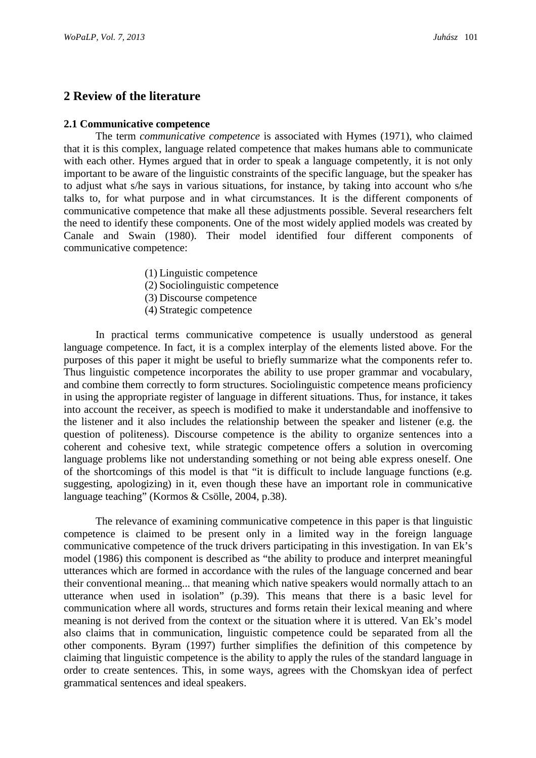# **2 Review of the literature**

### **2.1 Communicative competence**

The term *communicative competence* is associated with Hymes (1971), who claimed that it is this complex, language related competence that makes humans able to communicate with each other. Hymes argued that in order to speak a language competently, it is not only important to be aware of the linguistic constraints of the specific language, but the speaker has to adjust what s/he says in various situations, for instance, by taking into account who s/he talks to, for what purpose and in what circumstances. It is the different components of communicative competence that make all these adjustments possible. Several researchers felt the need to identify these components. One of the most widely applied models was created by Canale and Swain (1980). Their model identified four different components of communicative competence:

- (1) Linguistic competence
- (2) Sociolinguistic competence
- (3) Discourse competence
- (4) Strategic competence

 In practical terms communicative competence is usually understood as general language competence. In fact, it is a complex interplay of the elements listed above. For the purposes of this paper it might be useful to briefly summarize what the components refer to. Thus linguistic competence incorporates the ability to use proper grammar and vocabulary, and combine them correctly to form structures. Sociolinguistic competence means proficiency in using the appropriate register of language in different situations. Thus, for instance, it takes into account the receiver, as speech is modified to make it understandable and inoffensive to the listener and it also includes the relationship between the speaker and listener (e.g. the question of politeness). Discourse competence is the ability to organize sentences into a coherent and cohesive text, while strategic competence offers a solution in overcoming language problems like not understanding something or not being able express oneself. One of the shortcomings of this model is that "it is difficult to include language functions (e.g. suggesting, apologizing) in it, even though these have an important role in communicative language teaching" (Kormos & Csölle, 2004, p.38).

 The relevance of examining communicative competence in this paper is that linguistic competence is claimed to be present only in a limited way in the foreign language communicative competence of the truck drivers participating in this investigation. In van Ek's model (1986) this component is described as "the ability to produce and interpret meaningful utterances which are formed in accordance with the rules of the language concerned and bear their conventional meaning... that meaning which native speakers would normally attach to an utterance when used in isolation" (p.39). This means that there is a basic level for communication where all words, structures and forms retain their lexical meaning and where meaning is not derived from the context or the situation where it is uttered. Van Ek's model also claims that in communication, linguistic competence could be separated from all the other components. Byram (1997) further simplifies the definition of this competence by claiming that linguistic competence is the ability to apply the rules of the standard language in order to create sentences. This, in some ways, agrees with the Chomskyan idea of perfect grammatical sentences and ideal speakers.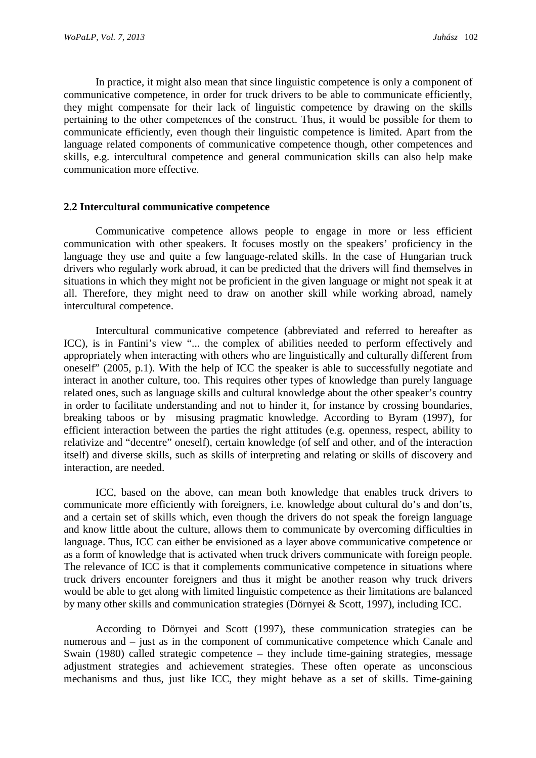In practice, it might also mean that since linguistic competence is only a component of communicative competence, in order for truck drivers to be able to communicate efficiently, they might compensate for their lack of linguistic competence by drawing on the skills pertaining to the other competences of the construct. Thus, it would be possible for them to communicate efficiently, even though their linguistic competence is limited. Apart from the language related components of communicative competence though, other competences and skills, e.g. intercultural competence and general communication skills can also help make communication more effective.

### **2.2 Intercultural communicative competence**

Communicative competence allows people to engage in more or less efficient communication with other speakers. It focuses mostly on the speakers' proficiency in the language they use and quite a few language-related skills. In the case of Hungarian truck drivers who regularly work abroad, it can be predicted that the drivers will find themselves in situations in which they might not be proficient in the given language or might not speak it at all. Therefore, they might need to draw on another skill while working abroad, namely intercultural competence.

 Intercultural communicative competence (abbreviated and referred to hereafter as ICC), is in Fantini's view "... the complex of abilities needed to perform effectively and appropriately when interacting with others who are linguistically and culturally different from oneself" (2005, p.1). With the help of ICC the speaker is able to successfully negotiate and interact in another culture, too. This requires other types of knowledge than purely language related ones, such as language skills and cultural knowledge about the other speaker's country in order to facilitate understanding and not to hinder it, for instance by crossing boundaries, breaking taboos or by misusing pragmatic knowledge. According to Byram (1997), for efficient interaction between the parties the right attitudes (e.g. openness, respect, ability to relativize and "decentre" oneself), certain knowledge (of self and other, and of the interaction itself) and diverse skills, such as skills of interpreting and relating or skills of discovery and interaction, are needed.

 ICC, based on the above, can mean both knowledge that enables truck drivers to communicate more efficiently with foreigners, i.e. knowledge about cultural do's and don'ts, and a certain set of skills which, even though the drivers do not speak the foreign language and know little about the culture, allows them to communicate by overcoming difficulties in language. Thus, ICC can either be envisioned as a layer above communicative competence or as a form of knowledge that is activated when truck drivers communicate with foreign people. The relevance of ICC is that it complements communicative competence in situations where truck drivers encounter foreigners and thus it might be another reason why truck drivers would be able to get along with limited linguistic competence as their limitations are balanced by many other skills and communication strategies (Dörnyei & Scott, 1997), including ICC.

 According to Dörnyei and Scott (1997), these communication strategies can be numerous and – just as in the component of communicative competence which Canale and Swain (1980) called strategic competence – they include time-gaining strategies, message adjustment strategies and achievement strategies. These often operate as unconscious mechanisms and thus, just like ICC, they might behave as a set of skills. Time-gaining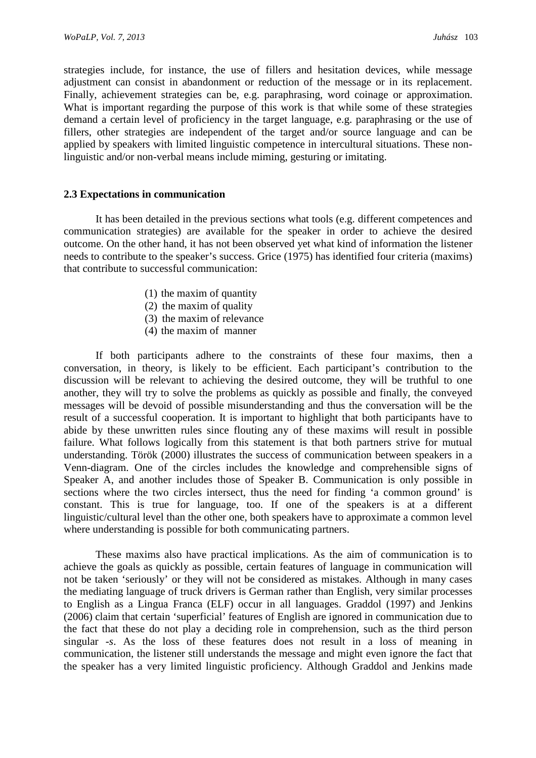strategies include, for instance, the use of fillers and hesitation devices, while message adjustment can consist in abandonment or reduction of the message or in its replacement. Finally, achievement strategies can be, e.g. paraphrasing, word coinage or approximation. What is important regarding the purpose of this work is that while some of these strategies demand a certain level of proficiency in the target language, e.g. paraphrasing or the use of fillers, other strategies are independent of the target and/or source language and can be applied by speakers with limited linguistic competence in intercultural situations. These nonlinguistic and/or non-verbal means include miming, gesturing or imitating.

### **2.3 Expectations in communication**

It has been detailed in the previous sections what tools (e.g. different competences and communication strategies) are available for the speaker in order to achieve the desired outcome. On the other hand, it has not been observed yet what kind of information the listener needs to contribute to the speaker's success. Grice (1975) has identified four criteria (maxims) that contribute to successful communication:

- (1) the maxim of quantity
- (2) the maxim of quality
- (3) the maxim of relevance
- (4) the maxim of manner

 If both participants adhere to the constraints of these four maxims, then a conversation, in theory, is likely to be efficient. Each participant's contribution to the discussion will be relevant to achieving the desired outcome, they will be truthful to one another, they will try to solve the problems as quickly as possible and finally, the conveyed messages will be devoid of possible misunderstanding and thus the conversation will be the result of a successful cooperation. It is important to highlight that both participants have to abide by these unwritten rules since flouting any of these maxims will result in possible failure. What follows logically from this statement is that both partners strive for mutual understanding. Török (2000) illustrates the success of communication between speakers in a Venn-diagram. One of the circles includes the knowledge and comprehensible signs of Speaker A, and another includes those of Speaker B. Communication is only possible in sections where the two circles intersect, thus the need for finding 'a common ground' is constant. This is true for language, too. If one of the speakers is at a different linguistic/cultural level than the other one, both speakers have to approximate a common level where understanding is possible for both communicating partners.

 These maxims also have practical implications. As the aim of communication is to achieve the goals as quickly as possible, certain features of language in communication will not be taken 'seriously' or they will not be considered as mistakes. Although in many cases the mediating language of truck drivers is German rather than English, very similar processes to English as a Lingua Franca (ELF) occur in all languages. Graddol (1997) and Jenkins (2006) claim that certain 'superficial' features of English are ignored in communication due to the fact that these do not play a deciding role in comprehension, such as the third person singular *-s*. As the loss of these features does not result in a loss of meaning in communication, the listener still understands the message and might even ignore the fact that the speaker has a very limited linguistic proficiency. Although Graddol and Jenkins made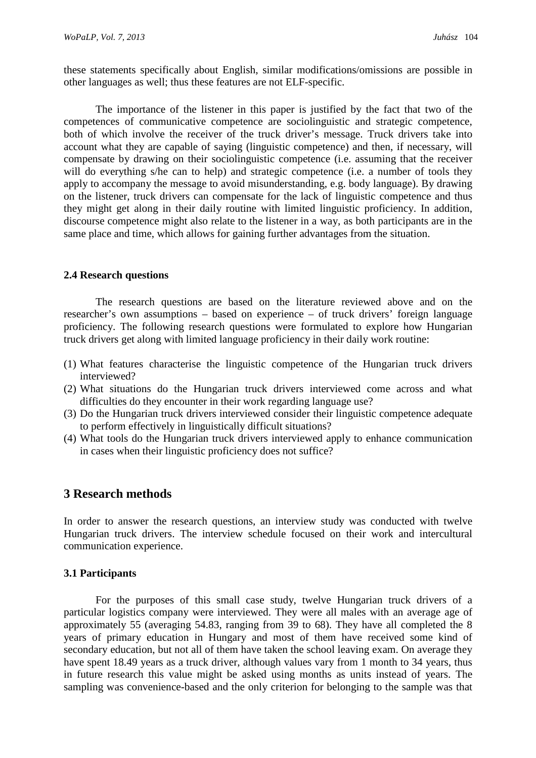these statements specifically about English, similar modifications/omissions are possible in other languages as well; thus these features are not ELF-specific.

 The importance of the listener in this paper is justified by the fact that two of the competences of communicative competence are sociolinguistic and strategic competence, both of which involve the receiver of the truck driver's message. Truck drivers take into account what they are capable of saying (linguistic competence) and then, if necessary, will compensate by drawing on their sociolinguistic competence (i.e. assuming that the receiver will do everything s/he can to help) and strategic competence (i.e. a number of tools they apply to accompany the message to avoid misunderstanding, e.g. body language). By drawing on the listener, truck drivers can compensate for the lack of linguistic competence and thus they might get along in their daily routine with limited linguistic proficiency. In addition, discourse competence might also relate to the listener in a way, as both participants are in the same place and time, which allows for gaining further advantages from the situation.

### **2.4 Research questions**

The research questions are based on the literature reviewed above and on the researcher's own assumptions – based on experience – of truck drivers' foreign language proficiency. The following research questions were formulated to explore how Hungarian truck drivers get along with limited language proficiency in their daily work routine:

- (1) What features characterise the linguistic competence of the Hungarian truck drivers interviewed?
- (2) What situations do the Hungarian truck drivers interviewed come across and what difficulties do they encounter in their work regarding language use?
- (3) Do the Hungarian truck drivers interviewed consider their linguistic competence adequate to perform effectively in linguistically difficult situations?
- (4) What tools do the Hungarian truck drivers interviewed apply to enhance communication in cases when their linguistic proficiency does not suffice?

# **3 Research methods**

In order to answer the research questions, an interview study was conducted with twelve Hungarian truck drivers. The interview schedule focused on their work and intercultural communication experience.

# **3.1 Participants**

For the purposes of this small case study, twelve Hungarian truck drivers of a particular logistics company were interviewed. They were all males with an average age of approximately 55 (averaging 54.83, ranging from 39 to 68). They have all completed the 8 years of primary education in Hungary and most of them have received some kind of secondary education, but not all of them have taken the school leaving exam. On average they have spent 18.49 years as a truck driver, although values vary from 1 month to 34 years, thus in future research this value might be asked using months as units instead of years. The sampling was convenience-based and the only criterion for belonging to the sample was that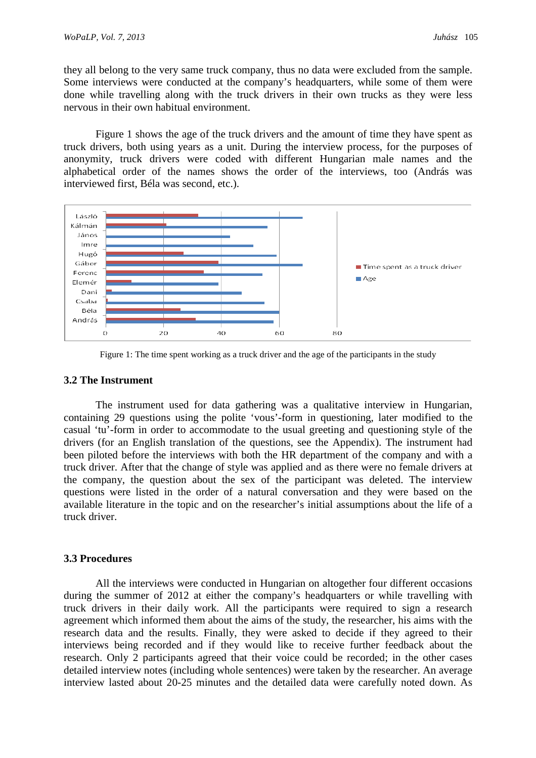they all belong to the very same truck company, thus no data were excluded from the sample. Some interviews were conducted at the company's headquarters, while some of them were done while travelling along with the truck drivers in their own trucks as they were less nervous in their own habitual environment.

 Figure 1 shows the age of the truck drivers and the amount of time they have spent as truck drivers, both using years as a unit. During the interview process, for the purposes of anonymity, truck drivers were coded with different Hungarian male names and the alphabetical order of the names shows the order of the interviews, too (András was interviewed first, Béla was second, etc.).



Figure 1: The time spent working as a truck driver and the age of the participants in the study

### **3.2 The Instrument**

 The instrument used for data gathering was a qualitative interview in Hungarian, containing 29 questions using the polite 'vous'-form in questioning, later modified to the casual 'tu'-form in order to accommodate to the usual greeting and questioning style of the drivers (for an English translation of the questions, see the Appendix). The instrument had been piloted before the interviews with both the HR department of the company and with a truck driver. After that the change of style was applied and as there were no female drivers at the company, the question about the sex of the participant was deleted. The interview questions were listed in the order of a natural conversation and they were based on the available literature in the topic and on the researcher's initial assumptions about the life of a truck driver.

### **3.3 Procedures**

 All the interviews were conducted in Hungarian on altogether four different occasions during the summer of 2012 at either the company's headquarters or while travelling with truck drivers in their daily work. All the participants were required to sign a research agreement which informed them about the aims of the study, the researcher, his aims with the research data and the results. Finally, they were asked to decide if they agreed to their interviews being recorded and if they would like to receive further feedback about the research. Only 2 participants agreed that their voice could be recorded; in the other cases detailed interview notes (including whole sentences) were taken by the researcher. An average interview lasted about 20-25 minutes and the detailed data were carefully noted down. As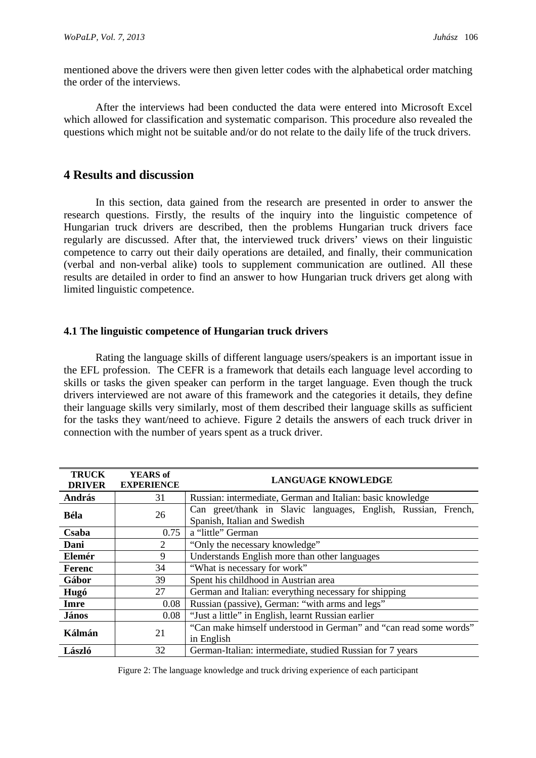mentioned above the drivers were then given letter codes with the alphabetical order matching the order of the interviews.

 After the interviews had been conducted the data were entered into Microsoft Excel which allowed for classification and systematic comparison. This procedure also revealed the questions which might not be suitable and/or do not relate to the daily life of the truck drivers.

# **4 Results and discussion**

In this section, data gained from the research are presented in order to answer the research questions. Firstly, the results of the inquiry into the linguistic competence of Hungarian truck drivers are described, then the problems Hungarian truck drivers face regularly are discussed. After that, the interviewed truck drivers' views on their linguistic competence to carry out their daily operations are detailed, and finally, their communication (verbal and non-verbal alike) tools to supplement communication are outlined. All these results are detailed in order to find an answer to how Hungarian truck drivers get along with limited linguistic competence.

# **4.1 The linguistic competence of Hungarian truck drivers**

Rating the language skills of different language users/speakers is an important issue in the EFL profession. The CEFR is a framework that details each language level according to skills or tasks the given speaker can perform in the target language. Even though the truck drivers interviewed are not aware of this framework and the categories it details, they define their language skills very similarly, most of them described their language skills as sufficient for the tasks they want/need to achieve. Figure 2 details the answers of each truck driver in connection with the number of years spent as a truck driver.

| <b>TRUCK</b><br><b>DRIVER</b> | <b>YEARS</b> of<br><b>EXPERIENCE</b> | <b>LANGUAGE KNOWLEDGE</b>                                                                      |  |
|-------------------------------|--------------------------------------|------------------------------------------------------------------------------------------------|--|
| <b>András</b>                 | 31                                   | Russian: intermediate, German and Italian: basic knowledge                                     |  |
| <b>Béla</b>                   | 26                                   | Can greet/thank in Slavic languages, English, Russian, French,<br>Spanish, Italian and Swedish |  |
| Csaba                         | 0.75                                 | a "little" German                                                                              |  |
| Dani                          | 2                                    | "Only the necessary knowledge"                                                                 |  |
| Elemér                        | 9                                    | Understands English more than other languages                                                  |  |
| Ferenc                        | 34                                   | "What is necessary for work"                                                                   |  |
| Gábor                         | 39                                   | Spent his childhood in Austrian area                                                           |  |
| Hugó                          | 27                                   | German and Italian: everything necessary for shipping                                          |  |
| Imre                          | 0.08                                 | Russian (passive), German: "with arms and legs"                                                |  |
| <b>János</b>                  | 0.08                                 | "Just a little" in English, learnt Russian earlier                                             |  |
| Kálmán                        | 21                                   | "Can make himself understood in German" and "can read some words"<br>in English                |  |
| László                        | 32                                   | German-Italian: intermediate, studied Russian for 7 years                                      |  |

Figure 2: The language knowledge and truck driving experience of each participant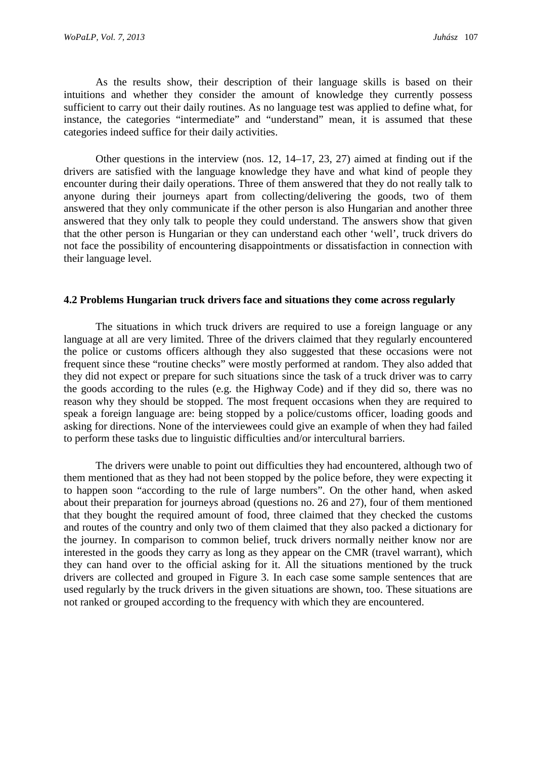As the results show, their description of their language skills is based on their intuitions and whether they consider the amount of knowledge they currently possess sufficient to carry out their daily routines. As no language test was applied to define what, for instance, the categories "intermediate" and "understand" mean, it is assumed that these categories indeed suffice for their daily activities.

Other questions in the interview (nos. 12,  $14-17$ ,  $23$ ,  $27$ ) aimed at finding out if the drivers are satisfied with the language knowledge they have and what kind of people they encounter during their daily operations. Three of them answered that they do not really talk to anyone during their journeys apart from collecting/delivering the goods, two of them answered that they only communicate if the other person is also Hungarian and another three answered that they only talk to people they could understand. The answers show that given that the other person is Hungarian or they can understand each other 'well', truck drivers do not face the possibility of encountering disappointments or dissatisfaction in connection with their language level.

### **4.2 Problems Hungarian truck drivers face and situations they come across regularly**

 The situations in which truck drivers are required to use a foreign language or any language at all are very limited. Three of the drivers claimed that they regularly encountered the police or customs officers although they also suggested that these occasions were not frequent since these "routine checks" were mostly performed at random. They also added that they did not expect or prepare for such situations since the task of a truck driver was to carry the goods according to the rules (e.g. the Highway Code) and if they did so, there was no reason why they should be stopped. The most frequent occasions when they are required to speak a foreign language are: being stopped by a police/customs officer, loading goods and asking for directions. None of the interviewees could give an example of when they had failed to perform these tasks due to linguistic difficulties and/or intercultural barriers.

 The drivers were unable to point out difficulties they had encountered, although two of them mentioned that as they had not been stopped by the police before, they were expecting it to happen soon "according to the rule of large numbers". On the other hand, when asked about their preparation for journeys abroad (questions no. 26 and 27), four of them mentioned that they bought the required amount of food, three claimed that they checked the customs and routes of the country and only two of them claimed that they also packed a dictionary for the journey. In comparison to common belief, truck drivers normally neither know nor are interested in the goods they carry as long as they appear on the CMR (travel warrant), which they can hand over to the official asking for it. All the situations mentioned by the truck drivers are collected and grouped in Figure 3. In each case some sample sentences that are used regularly by the truck drivers in the given situations are shown, too. These situations are not ranked or grouped according to the frequency with which they are encountered.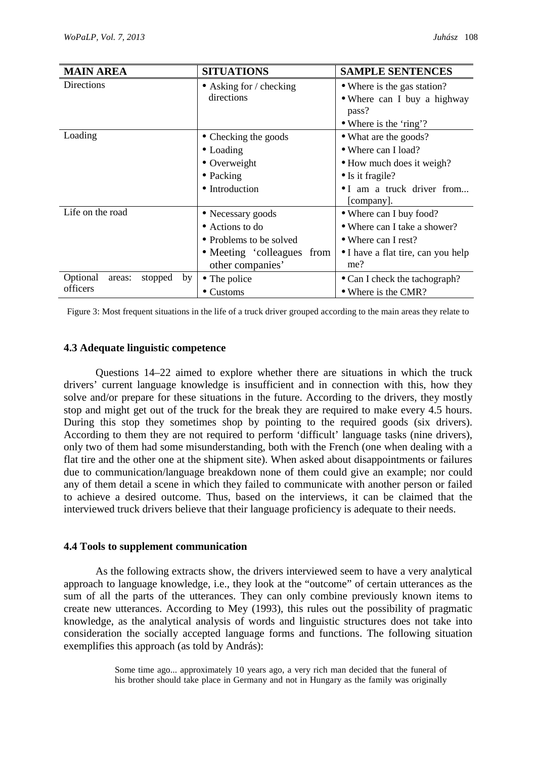| <b>MAIN AREA</b>                                | <b>SITUATIONS</b>                                                                                                 | <b>SAMPLE SENTENCES</b>                                                                                                                           |
|-------------------------------------------------|-------------------------------------------------------------------------------------------------------------------|---------------------------------------------------------------------------------------------------------------------------------------------------|
| Directions                                      | $\bullet$ Asking for / checking<br>directions                                                                     | • Where is the gas station?<br>• Where can I buy a highway<br>pass?<br>• Where is the 'ring'?                                                     |
| Loading                                         | • Checking the goods<br>$\bullet$ Loading<br>• Overweight<br>$\bullet$ Packing<br>• Introduction                  | • What are the goods?<br>• Where can I load?<br>• How much does it weigh?<br>$\bullet$ Is it fragile?<br>• I am a truck driver from               |
| Life on the road                                | • Necessary goods<br>• Actions to do<br>• Problems to be solved<br>• Meeting 'colleagues from<br>other companies' | [company].<br>• Where can I buy food?<br>• Where can I take a shower?<br>$\bullet$ Where can I rest?<br>• I have a flat tire, can you help<br>me? |
| Optional<br>stopped<br>by<br>areas:<br>officers | • The police<br>$\bullet$ Customs                                                                                 | • Can I check the tachograph?<br>$\bullet$ Where is the CMR?                                                                                      |

Figure 3: Most frequent situations in the life of a truck driver grouped according to the main areas they relate to

# **4.3 Adequate linguistic competence**

Questions 14–22 aimed to explore whether there are situations in which the truck drivers' current language knowledge is insufficient and in connection with this, how they solve and/or prepare for these situations in the future. According to the drivers, they mostly stop and might get out of the truck for the break they are required to make every 4.5 hours. During this stop they sometimes shop by pointing to the required goods (six drivers). According to them they are not required to perform 'difficult' language tasks (nine drivers), only two of them had some misunderstanding, both with the French (one when dealing with a flat tire and the other one at the shipment site). When asked about disappointments or failures due to communication/language breakdown none of them could give an example; nor could any of them detail a scene in which they failed to communicate with another person or failed to achieve a desired outcome. Thus, based on the interviews, it can be claimed that the interviewed truck drivers believe that their language proficiency is adequate to their needs.

# **4.4 Tools to supplement communication**

As the following extracts show, the drivers interviewed seem to have a very analytical approach to language knowledge, i.e., they look at the "outcome" of certain utterances as the sum of all the parts of the utterances. They can only combine previously known items to create new utterances. According to Mey (1993), this rules out the possibility of pragmatic knowledge, as the analytical analysis of words and linguistic structures does not take into consideration the socially accepted language forms and functions. The following situation exemplifies this approach (as told by András):

> Some time ago... approximately 10 years ago, a very rich man decided that the funeral of his brother should take place in Germany and not in Hungary as the family was originally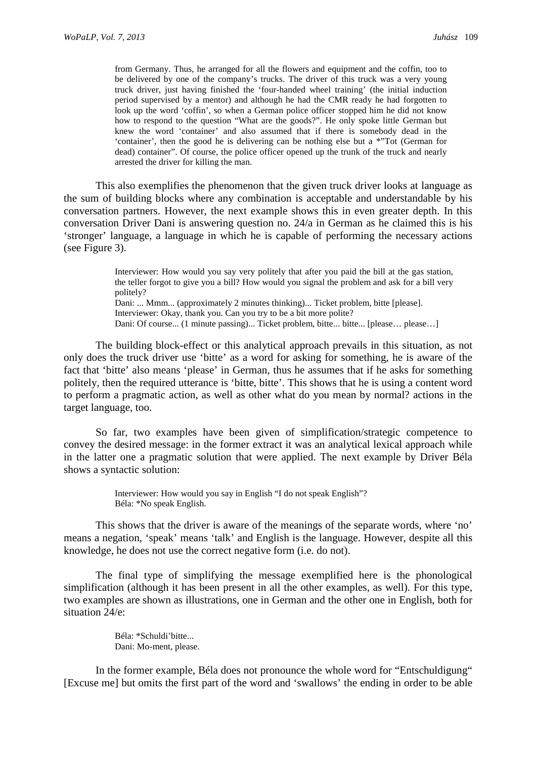from Germany. Thus, he arranged for all the flowers and equipment and the coffin, too to be delivered by one of the company's trucks. The driver of this truck was a very young truck driver, just having finished the 'four-handed wheel training' (the initial induction period supervised by a mentor) and although he had the CMR ready he had forgotten to look up the word 'coffin', so when a German police officer stopped him he did not know how to respond to the question "What are the goods?". He only spoke little German but knew the word 'container' and also assumed that if there is somebody dead in the 'container', then the good he is delivering can be nothing else but a \*"Tot (German for dead) container". Of course, the police officer opened up the trunk of the truck and nearly arrested the driver for killing the man.

This also exemplifies the phenomenon that the given truck driver looks at language as the sum of building blocks where any combination is acceptable and understandable by his conversation partners. However, the next example shows this in even greater depth. In this conversation Driver Dani is answering question no. 24/a in German as he claimed this is his 'stronger' language, a language in which he is capable of performing the necessary actions (see Figure 3).

> Interviewer: How would you say very politely that after you paid the bill at the gas station, the teller forgot to give you a bill? How would you signal the problem and ask for a bill very politely? Dani: ... Mmm... (approximately 2 minutes thinking)... Ticket problem, bitte [please]. Interviewer: Okay, thank you. Can you try to be a bit more polite? Dani: Of course... (1 minute passing)... Ticket problem, bitte... bitte... [please... please...]

 The building block-effect or this analytical approach prevails in this situation, as not only does the truck driver use 'bitte' as a word for asking for something, he is aware of the fact that 'bitte' also means 'please' in German, thus he assumes that if he asks for something politely, then the required utterance is 'bitte, bitte'. This shows that he is using a content word to perform a pragmatic action, as well as other what do you mean by normal? actions in the target language, too.

 So far, two examples have been given of simplification/strategic competence to convey the desired message: in the former extract it was an analytical lexical approach while in the latter one a pragmatic solution that were applied. The next example by Driver Béla shows a syntactic solution:

> Interviewer: How would you say in English "I do not speak English"? Béla: \*No speak English.

 This shows that the driver is aware of the meanings of the separate words, where 'no' means a negation, 'speak' means 'talk' and English is the language. However, despite all this knowledge, he does not use the correct negative form (i.e. do not).

 The final type of simplifying the message exemplified here is the phonological simplification (although it has been present in all the other examples, as well). For this type, two examples are shown as illustrations, one in German and the other one in English, both for situation 24/e:

> Béla: \*Schuldi'bitte... Dani: Mo-ment, please.

In the former example, Béla does not pronounce the whole word for "Entschuldigung" [Excuse me] but omits the first part of the word and 'swallows' the ending in order to be able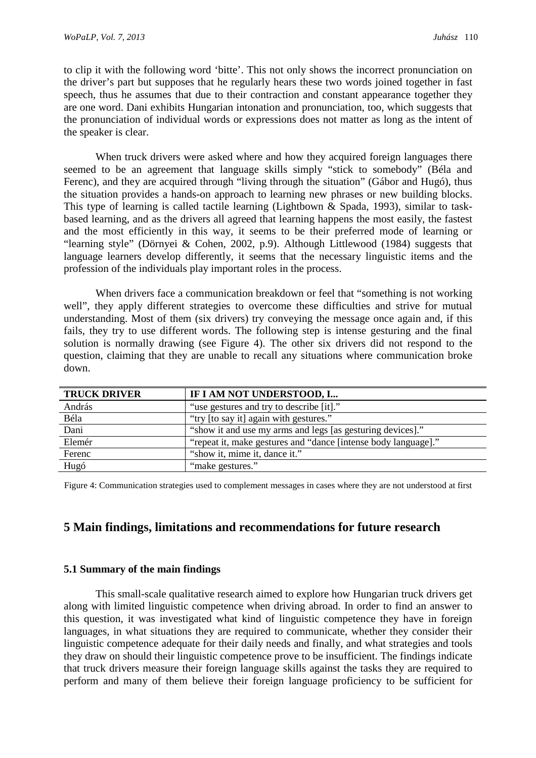to clip it with the following word 'bitte'. This not only shows the incorrect pronunciation on the driver's part but supposes that he regularly hears these two words joined together in fast speech, thus he assumes that due to their contraction and constant appearance together they are one word. Dani exhibits Hungarian intonation and pronunciation, too, which suggests that the pronunciation of individual words or expressions does not matter as long as the intent of the speaker is clear.

When truck drivers were asked where and how they acquired foreign languages there seemed to be an agreement that language skills simply "stick to somebody" (Béla and Ferenc), and they are acquired through "living through the situation" (Gábor and Hugó), thus the situation provides a hands-on approach to learning new phrases or new building blocks. This type of learning is called tactile learning (Lightbown & Spada, 1993), similar to taskbased learning, and as the drivers all agreed that learning happens the most easily, the fastest and the most efficiently in this way, it seems to be their preferred mode of learning or "learning style" (Dörnyei & Cohen, 2002, p.9). Although Littlewood (1984) suggests that language learners develop differently, it seems that the necessary linguistic items and the profession of the individuals play important roles in the process.

When drivers face a communication breakdown or feel that "something is not working well", they apply different strategies to overcome these difficulties and strive for mutual understanding. Most of them (six drivers) try conveying the message once again and, if this fails, they try to use different words. The following step is intense gesturing and the final solution is normally drawing (see Figure 4). The other six drivers did not respond to the question, claiming that they are unable to recall any situations where communication broke down.

| <b>TRUCK DRIVER</b> | IF I AM NOT UNDERSTOOD, I                                      |
|---------------------|----------------------------------------------------------------|
| András              | "use gestures and try to describe [it]."                       |
| Béla                | "try [to say it] again with gestures."                         |
| Dani                | "show it and use my arms and legs [as gesturing devices]."     |
| Elemér              | "repeat it, make gestures and "dance [intense body language]." |
| Ferenc              | "show it, mime it, dance it."                                  |
| Hugó                | "make gestures."                                               |

Figure 4: Communication strategies used to complement messages in cases where they are not understood at first

# **5 Main findings, limitations and recommendations for future research**

# **5.1 Summary of the main findings**

This small-scale qualitative research aimed to explore how Hungarian truck drivers get along with limited linguistic competence when driving abroad. In order to find an answer to this question, it was investigated what kind of linguistic competence they have in foreign languages, in what situations they are required to communicate, whether they consider their linguistic competence adequate for their daily needs and finally, and what strategies and tools they draw on should their linguistic competence prove to be insufficient. The findings indicate that truck drivers measure their foreign language skills against the tasks they are required to perform and many of them believe their foreign language proficiency to be sufficient for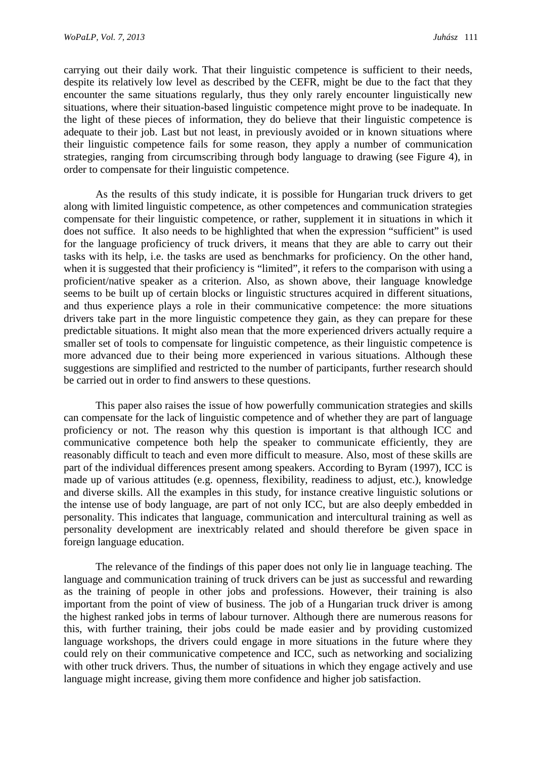carrying out their daily work. That their linguistic competence is sufficient to their needs, despite its relatively low level as described by the CEFR, might be due to the fact that they encounter the same situations regularly, thus they only rarely encounter linguistically new situations, where their situation-based linguistic competence might prove to be inadequate. In the light of these pieces of information, they do believe that their linguistic competence is adequate to their job. Last but not least, in previously avoided or in known situations where their linguistic competence fails for some reason, they apply a number of communication strategies, ranging from circumscribing through body language to drawing (see Figure 4), in order to compensate for their linguistic competence.

 As the results of this study indicate, it is possible for Hungarian truck drivers to get along with limited linguistic competence, as other competences and communication strategies compensate for their linguistic competence, or rather, supplement it in situations in which it does not suffice. It also needs to be highlighted that when the expression "sufficient" is used for the language proficiency of truck drivers, it means that they are able to carry out their tasks with its help, i.e. the tasks are used as benchmarks for proficiency. On the other hand, when it is suggested that their proficiency is "limited", it refers to the comparison with using a proficient/native speaker as a criterion. Also, as shown above, their language knowledge seems to be built up of certain blocks or linguistic structures acquired in different situations, and thus experience plays a role in their communicative competence: the more situations drivers take part in the more linguistic competence they gain, as they can prepare for these predictable situations. It might also mean that the more experienced drivers actually require a smaller set of tools to compensate for linguistic competence, as their linguistic competence is more advanced due to their being more experienced in various situations. Although these suggestions are simplified and restricted to the number of participants, further research should be carried out in order to find answers to these questions.

 This paper also raises the issue of how powerfully communication strategies and skills can compensate for the lack of linguistic competence and of whether they are part of language proficiency or not. The reason why this question is important is that although ICC and communicative competence both help the speaker to communicate efficiently, they are reasonably difficult to teach and even more difficult to measure. Also, most of these skills are part of the individual differences present among speakers. According to Byram (1997), ICC is made up of various attitudes (e.g. openness, flexibility, readiness to adjust, etc.), knowledge and diverse skills. All the examples in this study, for instance creative linguistic solutions or the intense use of body language, are part of not only ICC, but are also deeply embedded in personality. This indicates that language, communication and intercultural training as well as personality development are inextricably related and should therefore be given space in foreign language education.

 The relevance of the findings of this paper does not only lie in language teaching. The language and communication training of truck drivers can be just as successful and rewarding as the training of people in other jobs and professions. However, their training is also important from the point of view of business. The job of a Hungarian truck driver is among the highest ranked jobs in terms of labour turnover. Although there are numerous reasons for this, with further training, their jobs could be made easier and by providing customized language workshops, the drivers could engage in more situations in the future where they could rely on their communicative competence and ICC, such as networking and socializing with other truck drivers. Thus, the number of situations in which they engage actively and use language might increase, giving them more confidence and higher job satisfaction.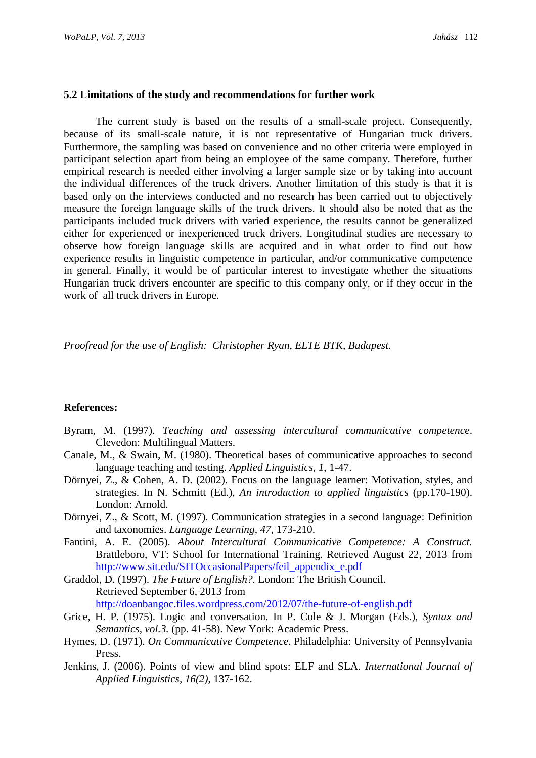#### **5.2 Limitations of the study and recommendations for further work**

The current study is based on the results of a small-scale project. Consequently, because of its small-scale nature, it is not representative of Hungarian truck drivers. Furthermore, the sampling was based on convenience and no other criteria were employed in participant selection apart from being an employee of the same company. Therefore, further empirical research is needed either involving a larger sample size or by taking into account the individual differences of the truck drivers. Another limitation of this study is that it is based only on the interviews conducted and no research has been carried out to objectively measure the foreign language skills of the truck drivers. It should also be noted that as the participants included truck drivers with varied experience, the results cannot be generalized either for experienced or inexperienced truck drivers. Longitudinal studies are necessary to observe how foreign language skills are acquired and in what order to find out how experience results in linguistic competence in particular, and/or communicative competence in general. Finally, it would be of particular interest to investigate whether the situations Hungarian truck drivers encounter are specific to this company only, or if they occur in the work of all truck drivers in Europe.

*Proofread for the use of English: Christopher Ryan, ELTE BTK, Budapest.* 

#### **References:**

- Byram, M. (1997). *Teaching and assessing intercultural communicative competence*. Clevedon: Multilingual Matters.
- Canale, M., & Swain, M. (1980). Theoretical bases of communicative approaches to second language teaching and testing. *Applied Linguistics, 1*, 1-47.
- Dörnyei, Z., & Cohen, A. D. (2002). Focus on the language learner: Motivation, styles, and strategies. In N. Schmitt (Ed.), *An introduction to applied linguistics* (pp.170-190). London: Arnold.
- Dörnyei, Z., & Scott, M. (1997). Communication strategies in a second language: Definition and taxonomies. *Language Learning*, *47*, 173-210.
- Fantini, A. E. (2005). *About Intercultural Communicative Competence: A Construct.* Brattleboro, VT: School for International Training. Retrieved August 22, 2013 from http://www.sit.edu/SITOccasionalPapers/feil\_appendix\_e.pdf
- Graddol, D. (1997). *The Future of English?.* London: The British Council. Retrieved September 6, 2013 from http://doanbangoc.files.wordpress.com/2012/07/the-future-of-english.pdf
- Grice, H. P. (1975). Logic and conversation. In P. Cole & J. Morgan (Eds.), *Syntax and Semantics, vol.3.* (pp. 41-58). New York: Academic Press.
- Hymes, D. (1971). *On Communicative Competence*. Philadelphia: University of Pennsylvania Press.
- Jenkins, J. (2006). Points of view and blind spots: ELF and SLA. *International Journal of Applied Linguistics, 16(2),* 137-162.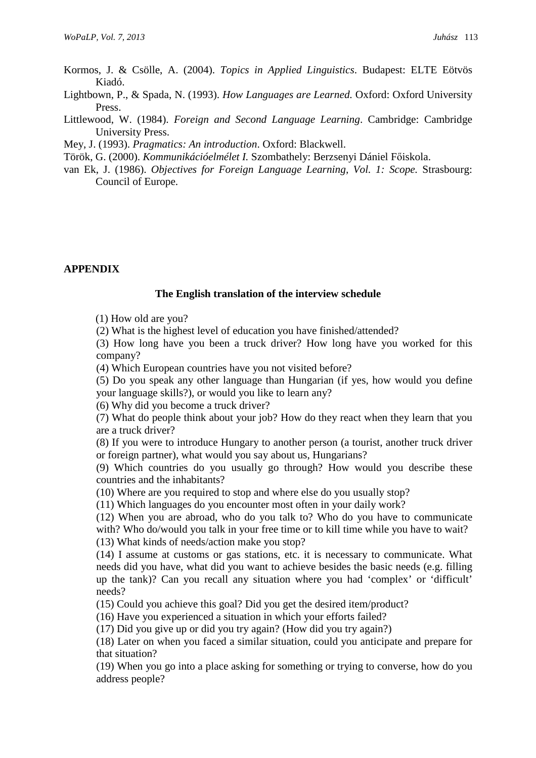- Kormos, J. & Csölle, A. (2004). *Topics in Applied Linguistics*. Budapest: ELTE Eötvös Kiadó.
- Lightbown, P., & Spada, N. (1993). *How Languages are Learned.* Oxford: Oxford University Press.
- Littlewood, W. (1984). *Foreign and Second Language Learning*. Cambridge: Cambridge University Press.
- Mey, J. (1993). *Pragmatics: An introduction*. Oxford: Blackwell.

Török, G. (2000). *Kommunikációelmélet I*. Szombathely: Berzsenyi Dániel Főiskola.

van Ek, J. (1986). *Objectives for Foreign Language Learning, Vol. 1: Scope.* Strasbourg: Council of Europe.

# **APPENDIX**

# **The English translation of the interview schedule**

(1) How old are you?

(2) What is the highest level of education you have finished/attended?

(3) How long have you been a truck driver? How long have you worked for this company?

(4) Which European countries have you not visited before?

(5) Do you speak any other language than Hungarian (if yes, how would you define your language skills?), or would you like to learn any?

(6) Why did you become a truck driver?

(7) What do people think about your job? How do they react when they learn that you are a truck driver?

(8) If you were to introduce Hungary to another person (a tourist, another truck driver or foreign partner), what would you say about us, Hungarians?

(9) Which countries do you usually go through? How would you describe these countries and the inhabitants?

(10) Where are you required to stop and where else do you usually stop?

(11) Which languages do you encounter most often in your daily work?

(12) When you are abroad, who do you talk to? Who do you have to communicate with? Who do/would you talk in your free time or to kill time while you have to wait?

(13) What kinds of needs/action make you stop?

(14) I assume at customs or gas stations, etc. it is necessary to communicate. What needs did you have, what did you want to achieve besides the basic needs (e.g. filling up the tank)? Can you recall any situation where you had 'complex' or 'difficult' needs?

(15) Could you achieve this goal? Did you get the desired item/product?

(16) Have you experienced a situation in which your efforts failed?

(17) Did you give up or did you try again? (How did you try again?)

(18) Later on when you faced a similar situation, could you anticipate and prepare for that situation?

(19) When you go into a place asking for something or trying to converse, how do you address people?